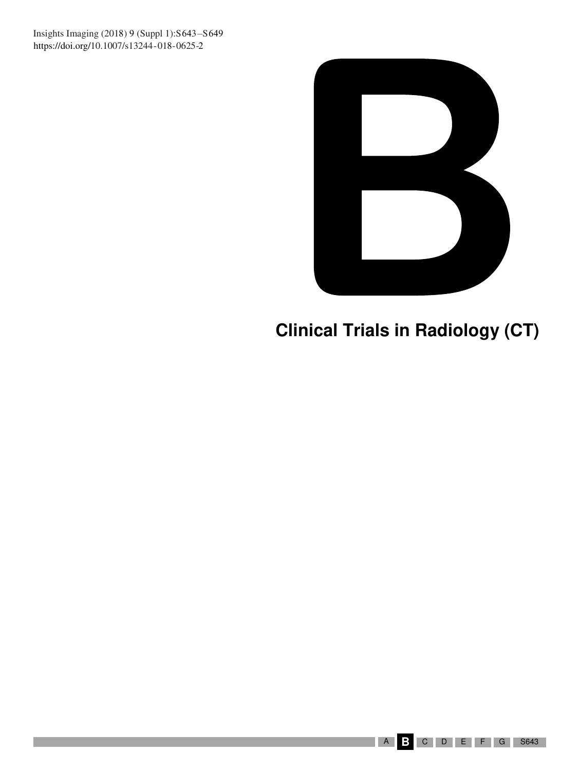**Scientific Sessions Scientific Sessions Sessions Sessions Sessions** https://doi.org/10.1007/s13244-018-0625-2 Insights Imaging (2018) 9 (Suppl 1):S643-S649



# **Clinical Trials in Radiology (CT)**

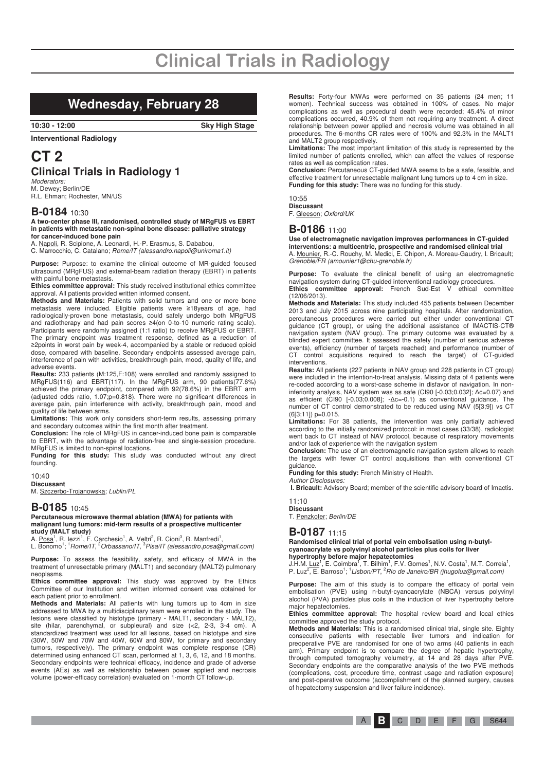### **Wednesday, February 28**

**10:30 - 12:00 Sky High Stage** 

**Interventional Radiology** 

## **CT 2 Clinical Trials in Radiology 1**

*Moderators:*<br>M. Dewey; Berlin/DE R.L. Ehman; Rochester, MN/US

#### **B-0184** 10:30

**A two-center phase III, randomised, controlled study of MRgFUS vs EBRT in patients with metastatic non-spinal bone disease: palliative strategy for cancer-induced bone pain** 

A. Napoli, R. Scipione, A. Leonardi, H.-P. Erasmus, S. Dababou,

C. Marrocchio, C. Catalano; Rome/IT (alessandro.napoli@uniroma1.it)

**Purpose:** Purpose: to examine the clinical outcome of MR-guided focused ultrasound (MRgFUS) and external-beam radiation therapy (EBRT) in patients with painful bone metastasis.

**Ethics committee approval:** This study received institutional ethics committee approval. All patients provided written informed consent.

**Methods and Materials:** Patients with solid tumors and one or more bone metastasis were included. Eligible patients were ≥18years of age, had radiologically-proven bone metastasis, could safely undergo both MRgFUS and radiotherapy and had pain scores ≥4(on 0-to-10 numeric rating scale). Participants were randomly assigned (1:1 ratio) to receive MRgFUS or EBRT. The primary endpoint was treatment response, defined as a reduction of 2points in worst pain by week-4, accompanied by a stable or reduced opioid dose, compared with baseline. Secondary endpoints assessed average pain, interference of pain with activities, breakthrough pain, mood, quality of life, and adverse events.

**Results:** 233 patients (M:125,F:108) were enrolled and randomly assigned to MRgFUS(116) and EBRT(117). In the MRgFUS arm, 90 patients(77.6%) achieved the primary endpoint, compared with 92(78.6%) in the EBRT arm (adjusted odds ratio, 1.07;p=0.818). There were no significant differences in average pain, pain interference with activity, breakthrough pain, mood and quality of life between arms.

**Limitations:** This work only considers short-term results, assessing primary and secondary outcomes within the first month after treatment.

**Conclusion:** The role of MRgFUS in cancer-induced bone pain is comparable to EBRT, with the advantage of radiation-free and single-session procedure. MRgFUS is limited to non-spinal locations.

**Funding for this study:** This study was conducted without any direct founding.

10:40

**Discussant**  M. Szczerbo-Trojanowska; Lublin/PL

#### **B-0185** 10:45

**Percutaneous microwave thermal ablation (MWA) for patients with malignant lung tumors: mid-term results of a prospective multicenter study (MALT study)** 

A. <u>Posa</u><sup>1</sup>, R. lezzi<sup>1</sup>, F. Carchesio<sup>1</sup>, A. Veltri<sup>2</sup>, R. Cioni<sup>3</sup>, R. Manfredi<sup>1</sup>,<br>L. Bonomo<sup>1</sup>; <sup>1</sup>*Rome/IT, <sup>2</sup>Orbassano/IT, <sup>3</sup>Pisa/IT (alessandro.posa@gmail.com)* 

**Purpose:** To assess the feasibility, safety, and efficacy of MWA in the treatment of unresectable primary (MALT1) and secondary (MALT2) pulmonary neoplasms.

**Ethics committee approval:** This study was approved by the Ethics Committee of our Institution and written informed consent was obtained for each patient prior to enrollment.

**Methods and Materials:** All patients with lung tumors up to 4cm in size addressed to MWA by a multidisciplinary team were enrolled in the study. The lesions were classified by histotype (primary - MALT1, secondary - MALT2), site (hilar, parenchymal, or subpleural) and size (<2, 2-3, 3-4 cm). A standardized treatment was used for all lesions, based on histotype and size (30W, 50W and 70W and 40W, 60W and 80W, for primary and secondary tumors, respectively). The primary endpoint was complete response (CR) determined using enhanced CT scan, performed at 1, 3, 6, 12, and 18 months. Secondary endpoints were technical efficacy, incidence and grade of adverse events (AEs) as well as relationship between power applied and necrosis volume (power-efficacy correlation) evaluated on 1-month CT follow-up.

**Results:** Forty-four MWAs were performed on 35 patients (24 men; 11 women). Technical success was obtained in 100% of cases. No major complications as well as procedural death were recorded; 45.4% of minor complications occurred, 40.9% of them not requiring any treatment. A direct relationship between power applied and necrosis volume was obtained in all procedures. The 6-months CR rates were of 100% and 92.3% in the MALT1 and MALT2 group respectively.

**Limitations:** The most important limitation of this study is represented by the limited number of patients enrolled, which can affect the values of response rates as well as complication rates.

**Conclusion:** Percutaneous CT-guided MWA seems to be a safe, feasible, and effective treatment for unresectable malignant lung tumors up to 4 cm in size. **Funding for this study:** There was no funding for this study.

10:55 **Discussant** 

F. Gleeson; Oxford/UK

#### **B-0186** 11:00

**Use of electromagnetic navigation improves performances in CT-guided** 

**interventions: a multicentric, prospective and randomised clinical trial**  A. Mounier, R.-C. Rouchy, M. Medici, E. Chipon, A. Moreau-Gaudry, I. Bricault; Grenoble/FR (amounier1@chu-grenoble.fr)

**Purpose:** To evaluate the clinical benefit of using an electromagnetic navigation system during CT-guided interventional radiology procedures.

**Ethics committee approval:** French Sud-Est V ethical committee (12/06/2013).

**Methods and Materials:** This study included 455 patients between December 2013 and July 2015 across nine participating hospitals. After randomization, percutaneous procedures were carried out either under conventional CT guidance (CT group), or using the additional assistance of IMACTIS-CT® navigation system (NAV group). The primary outcome was evaluated by a blinded expert committee. It assessed the safety (number of serious adverse events), efficiency (number of targets reached) and performance (number of CT control acquisitions required to reach the target) of CT-guided interventions.

**Results:** All patients (227 patients in NAV group and 228 patients in CT group) were included in the intention-to-treat analysis. Missing data of 4 patients were re-coded according to a worst-case scheme in disfavor of navigation. In noninferiority analysis, NAV system was as safe (CI90 [-0.03;0.032];  $\Delta$ c=0.07) and as efficient (CI90  $[-0.03;0.008]$ ;  $-\Delta c=-0.1$ ) as conventional guidance. The number of CT control demonstrated to be reduced using NAV (5[3;9]) vs CT  $(6[3;11])$  p=0.015.

**Limitations:** For 38 patients, the intervention was only partially achieved according to the initially randomized protocol: in most cases (33/38), radiologist went back to CT instead of NAV protocol, because of respiratory movements and/or lack of experience with the navigation system

**Conclusion:** The use of an electromagnetic navigation system allows to reach the targets with fewer CT control acquisitions than with conventional CT

guidance.<br>**Funding for this study:** French Ministry of Health. Author Disclosures:

**I. Bricault:** Advisory Board; member of the scientific advisory board of Imactis.

11:10 **Discussant**  T. Penzkofer; Berlin/DE

### **B-0187** 11:15

#### **Randomised clinical trial of portal vein embolisation using n-butylcyanoacrylate vs polyvinyl alcohol particles plus coils for liver hypertrophy before major hepatectomies**

J.H.M. <u>Luz</u>1, E. Coimbra<sup>1</sup>, T. Bilhim<sup>1</sup>, F.V. Gomes<sup>1</sup>, N.V. Costa<sup>1</sup>, M.T. Correia<sup>1</sup>,<br>P. Luz<sup>2</sup>, E. Barroso<sup>1</sup>; <sup>1</sup>*Lisbon/PT, <sup>2</sup>Rio de Janeiro/BR (jhugoluz@gmail.com)* 

Purpose: The aim of this study is to compare the efficacy of portal vein embolisation (PVE) using n-butyl-cyanoacrylate (NBCA) versus polyvinyl alcohol (PVA) particles plus coils in the induction of liver hypertrophy before major hepatectomies.

**Ethics committee approval:** The hospital review board and local ethics committee approved the study protocol.

**Methods and Materials:** This is a randomised clinical trial, single site. Eighty consecutive patients with resectable liver tumors and indication for preoperative PVE are randomised for one of two arms (40 patients in each arm). Primary endpoint is to compare the degree of hepatic hypertrophy, through computed tomography volumetry, at 14 and 28 days after PVE. Secondary endpoints are the comparative analysis of the two PVE methods (complications, cost, procedure time, contrast usage and radiation exposure) and post-operative outcome (accomplishment of the planned surgery, causes of hepatectomy suspension and liver failure incidence).

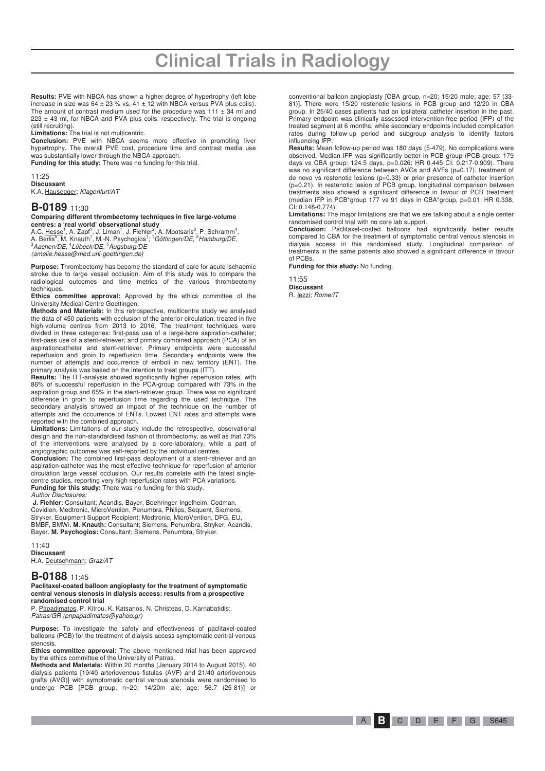**Results:** PVE with NBCA has shown a higher degree of hypertrophy (left lobe increase in size was  $64 \pm 23$  % vs.  $41 \pm 12$  with NBCA versus PVA plus coils). The amount of contrast medium used for the procedure was  $111 \pm 34$  ml and 223 ± 43 ml, for NBCA and PVA plus coils, respectively. The trial is ongoing (still recruiting).

**Limitations:** The trial is not multicentric.

**Conclusion:** PVE with NBCA seems more effective in promoting liver hypertrophy. The overall PVE cost, procedure time and contrast media use was substantially lower through the NBCA approach.

**Funding for this study:** There was no funding for this trial.

11:25

**Discussant**  K.A. Hausegger; Klagenfurt/AT

#### **B-0189** 11:30

**Comparing different thrombectomy techniques in five large-volume centres: a 'real world' observational study** 

A.C. <u>Hesse</u><sup>1</sup>, A. Zapf<sup>1</sup>, J. Liman<sup>1</sup>, J. Fiehler<sup>2</sup>, A. Mpotsaris<sup>3</sup>, P. Schramm<sup>4</sup>,<br>A. Berlis<sup>5</sup>, M. Knauth<sup>1</sup>, M.-N. Psychogios<sup>1</sup>; <sup>1</sup>*Göttingen/DE, <sup>2</sup>Hamburg/DE,* <sup>3</sup>Aachen/DE, 4 Lübeck/DE, <sup>5</sup>Augsburg/DE (amelie.hesse@med.uni-goettingen.de)

**Purpose:** Thrombectomy has become the standard of care for acute ischaemic stroke due to large vessel occlusion. Aim of this study was to compare the radiological outcomes and time metrics of the various thrombectomy techniques.

**Ethics committee approval:** Approved by the ethics committee of the University Medical Centre Goettingen.

**Methods and Materials:** In this retrospective, multicentre study we analysed the data of 450 patients with occlusion of the anterior circulation, treated in five high-volume centres from 2013 to 2016. The treatment techniques were divided in three categories: first-pass use of a large-bore aspiration-catheter; first-pass use of a stent-retriever; and primary combined approach (PCA) of an aspirationcatheter and stent-retriever. Primary endpoints were successful reperfusion and groin to reperfusion time. Secondary endpoints were the number of attempts and occurrence of emboli in new territory (ENT). The primary analysis was based on the intention to treat groups (ITT).

**Results:** The ITT-analysis showed significantly higher reperfusion rates, with 86% of successful reperfusion in the PCA-group compared with 73% in the aspiration group and 65% in the stent-retriever group. There was no significant difference in groin to reperfusion time regarding the used technique. The secondary analysis showed an impact of the technique on the number of attempts and the occurrence of ENTs. Lowest ENT rates and attempts were reported with the combined approach.

**Limitations:** Limitations of our study include the retrospective, observational design and the non-standardised fashion of thrombectomy, as well as that 73% of the interventions were analysed by a core-laboratory, while a part of angiographic outcomes was self-reported by the individual centres.

**Conclusion:** The combined first-pass deployment of a stent-retriever and an aspiration-catheter was the most effective technique for reperfusion of anterior circulation large vessel occlusion. Our results correlate with the latest singlecentre studies, reporting very high reperfusion rates with PCA variations. **Funding for this study:** There was no funding for this study.

Author Disclosures:

**J. Fiehler:** Consultant; Acandis, Bayer, Boehringer-Ingelheim, Codman, Covidien, Medtronic, MicroVention, Penumbra, Philips, Sequent, Siemens, Stryker. Equipment Support Recipient; Medtronic, MicroVention, DFG, EU, BMBF, BMWi. **M. Knauth:** Consultant; Siemens, Penumbra, Stryker, Acandis, Bayer. **M. Psychogios:** Consultant; Siemens, Penumbra, Stryker.

11:40

**Discussant** 

H.A. Deutschmann; Graz/AT

#### **B-0188** 11:45

**Paclitaxel-coated balloon angioplasty for the treatment of symptomatic central venous stenosis in dialysis access: results from a prospective randomised control trial** 

P. Papadimatos, P. Kitrou, K. Katsanos, N. Christeas, D. Karnabatidis; Patras/GR (pnpapadimatos@yahoo.gr)

**Purpose:** To investigate the safety and effectiveness of paclitaxel-coated balloons (PCB) for the treatment of dialysis access symptomatic central venous stenosis.

**Ethics committee approval:** The above mentioned trial has been approved by the ethics committee of the University of Patras.

**Methods and Materials:** Within 20 months (January 2014 to August 2015), 40 dialysis patients [19/40 arteriovenous fistulas (AVF) and 21/40 arteriovenous grafts (AVG)] with symptomatic central venous stenosis were randomised to undergo PCB [PCB group, n=20; 14/20m ale; age: 56.7 (25-81)] or

conventional balloon angioplasty [CBA group, n=20; 15/20 male; age: 57 (33- 81)]. There were 15/20 restenotic lesions in PCB group and 12/20 in CBA group. In 25/40 cases patients had an ipsilateral catheter insertion in the past. Primary endpoint was clinically assessed intervention-free period (IFP) of the treated segment at 6 months, while secondary endpoints included complication rates during follow-up period and subgroup analysis to identify factors influencing IFP.

**Results:** Mean follow-up period was 180 days (5-479). No complications were observed. Median IFP was significantly better in PCB group (PCB group: 179 days vs CBA group: 124.5 days, p=0.026; HR 0.445 CI: 0.217-0.909). There was no significant difference between AVGs and AVFs (p=0.17), treatment of de novo vs restenotic lesions (p=0.33) or prior presence of catheter insertion (p=0.21). In restenotic lesion of PCB group, longitudinal comparison between treatments also showed a significant difference in favour of PCB treatment (median IFP in PCB\*group 177 vs 91 days in CBA\*group, p=0.01; HR 0.338, CI: 0.148-0.774).

**Limitations:** The major limitations are that we are talking about a single center

randomised control trial with no core lab support. **Conclusion:** Paclitaxel-coated balloons had significantly better results compared to CBA for the treatment of symptomatic central venous stenosis in dialysis access in this randomised study. Longitudinal comparison of treatments in the same patients also showed a significant difference in favour of PCBs.

**Funding for this study:** No funding.

11:55 **Discussant**  R. lezzi; Rome/IT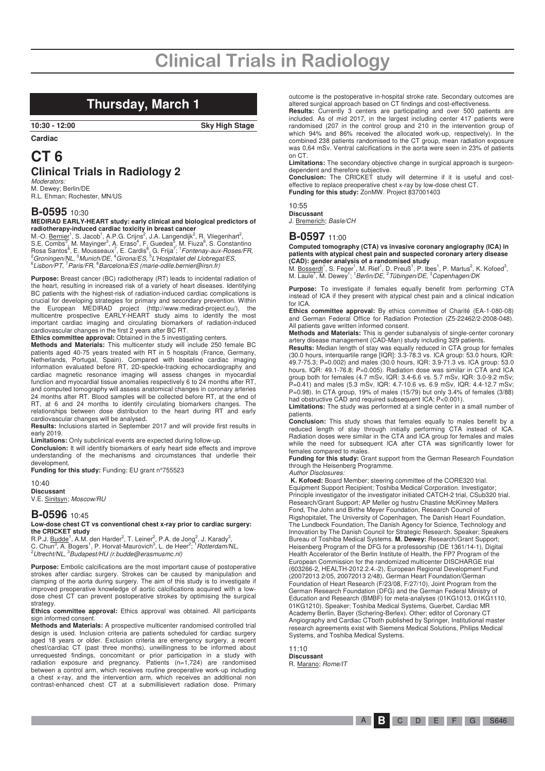# **Clinical Trials in Radiology**

### **Thursday, March 1**

**10:30 - 12:00 Sky High Stage** 

**Cardiac** 

### **CT 6 Clinical Trials in Radiology 2**

*Moderators:*<br>M. Dewey; Berlin/DE R.L. Ehman; Rochester, MN/US

#### **B-0595** 10:30

**MEDIRAD EARLY-HEART study: early clinical and biological predictors of** 

radiotherapy-induced cardiac toxicity in breast cancer<br>M.-O. <u>Bernier</u><sup>1</sup>, S. Jacob<sup>1</sup>, A.P.G. Crijns<sup>2</sup>, J.A. Langendijk<sup>2</sup>, R. Vliegenhart<sup>2</sup>,<br>S.E. Combs<sup>3</sup>, M. Mayinger<sup>3</sup>, A. Eraso<sup>4</sup>, F. Guedea<sup>5</sup>, M. Fiuza<sup>6</sup>, S. Con

**Purpose:** Breast cancer (BC) radiotherapy (RT) leads to incidental radiation of the heart, resulting in increased risk of a variety of heart diseases. Identifying BC patients with the highest-risk of radiation-induced cardiac complications is crucial for developing strategies for primary and secondary prevention. Within the European MEDIRAD project (http://www.medirad-project.eu/), the multicentre prospective EARLY-HEART study aims to identify the most important cardiac imaging and circulating biomarkers of radiation-induced cardiovascular changes in the first 2 years after BC RT.

**Ethics committee approval:** Obtained in the 5 investigating centers.

**Methods and Materials:** This multicenter study will include 250 female BC patients aged 40-75 years treated with RT in 5 hospitals (France, Germany, Netherlands, Portugal, Spain). Compared with baseline cardiac imaging information evaluated before RT, 2D-speckle-tracking echocardiography and cardiac magnetic resonance imaging will assess changes in myocardial function and myocardial tissue anomalies respectively 6 to 24 months after RT, and computed tomography will assess anatomical changes in coronary arteries 24 months after RT. Blood samples will be collected before RT, at the end of RT, at 6 and 24 months to identify circulating biomarkers changes. The relationships between dose distribution to the heart during RT and early cardiovascular changes will be analysed.

**Results:** Inclusions started in September 2017 and will provide first results in early 2019.

**Limitations:** Only subclinical events are expected during follow-up.

**Conclusion:** It will identify biomarkers of early heart side effects and improve understanding of the mechanisms and circumstances that underlie their development.

**Funding for this study:** Funding: EU grant n°755523

 $10.40$ **Discussant**  V.E. Sinitsyn; Moscow/RU

#### **B-0596** 10:45

#### **Low-dose chest CT vs conventional chest x-ray prior to cardiac surgery: the CRICKET study**

R.P.J. <u>Budde</u><sup>1</sup>, A.M. den Harder<sup>2</sup>, T. Leiner<sup>2</sup>, P.A. de Jong<sup>2</sup>, J. Karady<sup>3</sup>,<br>C. Chun<sup>3</sup>, A. Bogers<sup>1</sup>, P. Horvat-Maurovich<sup>3</sup>, L. de Heer<sup>2</sup>; <sup>1</sup>*Rotterdam/NL*,  $^{2}$ Utrecht/NL,  $^{3}$ Budapest/HU (r.budde@erasmusmc.nl)

**Purpose:** Embolic calcifications are the most important cause of postoperative strokes after cardiac surgery. Strokes can be caused by manipulation and clamping of the aorta during surgery. The aim of this study is to investigate if improved preoperative knowledge of aortic calcifications acquired with a lowdose chest CT can prevent postoperative strokes by optimising the surgical strategy.

#### **Ethics committee approval:** Ethics approval was obtained. All participants sign informed consent.

**Methods and Materials:** A prospective multicenter randomised controlled trial design is used. Inclusion criteria are patients scheduled for cardiac surgery aged 18 years or older. Exclusion criteria are emergency surgery, a recent chest/cardiac CT (past three months), unwillingness to be informed about unrequested findings, concomitant or prior participation in a study with radiation exposure and pregnancy. Patients (n=1,724) are randomised between a control arm, which receives routine preoperative work-up including a chest x-ray, and the intervention arm, which receives an additional non contrast-enhanced chest CT at a submillisievert radiation dose. Primary

outcome is the postoperative in-hospital stroke rate. Secondary outcomes are

altered surgical approach based on CT findings and cost-effectiveness. **Results:** Currently 3 centers are participating and over 500 patients are included. As of mid 2017, in the largest including center 417 patients were randomised (207 in the control group and 210 in the intervention group of which 94% and 86% received the allocated work-up, respectively). In the combined 238 patients randomised to the CT group, mean radiation exposure was 0,64 mSv. Ventral calcifications in the aorta were seen in 23% of patients on CT.

**Limitations:** The secondary objective change in surgical approach is surgeondependent and therefore subjective.

**Conclusion:** The CRICKET study will determine if it is useful and costeffective to replace preoperative chest x-ray by low-dose chest CT. **Funding for this study:** ZonMW. Project 837001403

#### 10:55

**Discussant** 

J. Bremerich; Basle/CH

#### **B-0597** 11:00

**Computed tomography (CTA) vs invasive coronary angiography (ICA) in patients with atypical chest pain and suspected coronary artery disease (CAD): gender analysis of a randomised study** 

M. <u>Bosserdt</u>1, S. Feger<sup>1</sup>, M. Rief<sup>1</sup>, D. Preuß<sup>1</sup>, P. Ibes<sup>1</sup>, P. Martus<sup>2</sup>, K. Kofoed<sup>3</sup>,<br>M. Laule<sup>1</sup>, M. Dewey<sup>1</sup>; <sup>1</sup>*Berlin/DE*, <sup>2</sup> Tübingen/DE, <sup>3</sup>Copenhagen/DK

**Purpose:** To investigate if females equally benefit from performing CTA instead of ICA if they present with atypical chest pain and a clinical indication for ICA.

**Ethics committee approval:** By ethics committee of Charité (EA-1-080-08) and German Federal Office for Radiation Protection (Z5-22462/2-2008-048). All patients gave written informed consent.

**Methods and Materials:** This is gender subanalysis of single-center coronary artery disease management (CAD-Man) study including 329 patients.

**Results:** Median length of stay was equally reduced in CTA group for females (30.0 hours, interquartile range [IQR]: 3.3-78.3 vs. ICA group: 53.0 hours, IQR: 49.7-75.3; P=0.002) and males (30.0 hours, IQR: 3.9-71.3 vs. ICA group: 53.0 hours, IQR: 49.1-76.8; P=0.005). Radiation dose was similar in CTA and ICA group both for females (4.7 mSv, IQR: 3.4-6.6 vs. 5.7 mSv, IQR: 3.0-9.2 mSv; P=0.41) and males (5.3 mSv, IQR: 4.7-10.6 vs. 6.9 mSv, IQR: 4.4-12.7 mSv; P=0.98). In CTA group, 19% of males (15/79) but only 3.4% of females (3/88) had obstructive CAD and required subsequent ICA; P<0.001).

**Limitations:** The study was performed at a single center in a small number of patients.

**Conclusion:** This study shows that females equally to males benefit by a reduced length of stay through initially performing CTA instead of ICA. Radiation doses were similar in the CTA and ICA group for females and males while the need for subsequent ICA after CTA was significantly lower for females compared to males.

**Funding for this study:** Grant support from the German Research Foundation through the Heisenberg Programme.

Author Disclosures: **K. Kofoed:** Board Member; steering committee of the CORE320 trial. Equipment Support Recipient; Toshiba Medical Corporation. Investigator; Principle investigator of the investigator initiated CATCH-2 trial, CSub320 trial. Research/Grant Support; AP Møller og hustru Chastine McKinney Møllers Fond, The John and Birthe Meyer Foundation, Research Council of Rigshopitalet, The University of Copenhagen, The Danish Heart Foundation, The Lundbeck Foundation, The Danish Agency for Science, Technology and Innovation by The Danish Council for Strategic Research. Speaker; Speakers Bureau of Toshiba Medical Systems. **M. Dewey:** Research/Grant Support; Heisenberg Program of the DFG for a professorship (DE 1361/14-1), Digital Health Accelerator of the Berlin Institute of Health, the FP7 Program of the European Commission for the randomized multicenter DISCHARGE trial (603266-2, HEALTH-2012.2.4.-2), European Regional Development Fund (20072013 2/05, 20072013 2/48), German Heart Foundation/German Foundation of Heart Research (F/23/08, F/27/10), Joint Program from the German Research Foundation (DFG) and the German Federal Ministry of Education and Research (BMBF) for meta-analyses (01KG1013, 01KG1110, 01KG1210). Speaker; Toshiba Medical Systems, Guerbet, Cardiac MR

Academy Berlin, Bayer (Schering-Berlex). Other; editor of Coronary CT Angiography and Cardiac CTboth published by Springer, Institutional master research agreements exist with Siemens Medical Solutions, Philips Medical Systems, and Toshiba Medical Systems. 11:10

**Discussant**  R. Marano; Rome/IT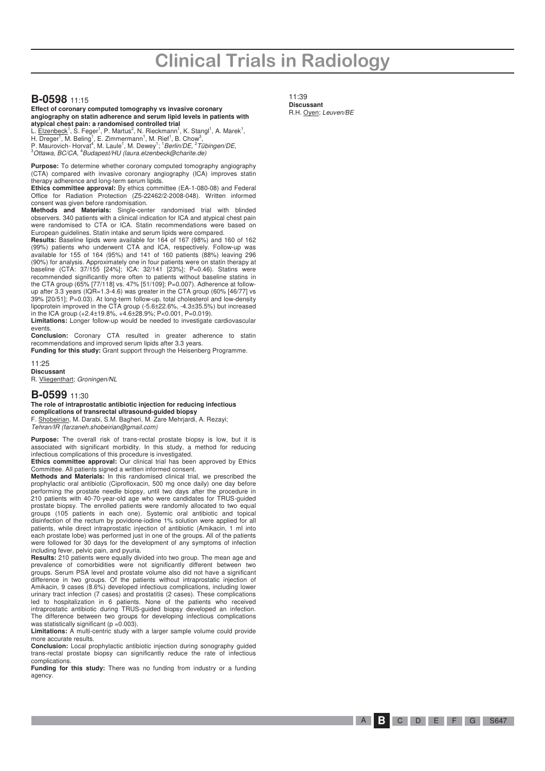# **Clinical Trials in Radiology**

#### **B-0598** 11:15

**Effect of coronary computed tomography vs invasive coronary angiography on statin adherence and serum lipid levels in patients with atypical chest pain: a randomised controlled trial** 

L. <u>Elzenbeck<sup>1</sup>,</u> S. Feger<sup>1</sup>, P. Martus<sup>2</sup>, N. Rieckmann<sup>1</sup>, K. Stangl<sup>1</sup>, A. Marek<sup>1</sup>,<br>H. Dreger<sup>1</sup>, M. Beling<sup>1</sup>, E. Zimmermann<sup>1</sup>, M. Rief<sup>1</sup>, B. Chow<sup>3</sup>,<br>P. Maurovich- Horvat<sup>4</sup>, M. Laule<sup>1</sup>, M. Dewey<sup>1</sup>; <sup>1</sup>*Berlin/* 

**Purpose:** To determine whether coronary computed tomography angiography (CTA) compared with invasive coronary angiography (ICA) improves statin therapy adherence and long-term serum lipids.

**Ethics committee approval:** By ethics committee (EA-1-080-08) and Federal Office for Radiation Protection (Z5-22462/2-2008-048). Written informed consent was given before randomisation.

**Methods and Materials:** Single-center randomised trial with blinded observers. 340 patients with a clinical indication for ICA and atypical chest pain were randomised to CTA or ICA. Statin recommendations were based on European guidelines. Statin intake and serum lipids were compared.

**Results:** Baseline lipids were available for 164 of 167 (98%) and 160 of 162 (99%) patients who underwent CTA and ICA, respectively. Follow-up was available for 155 of 164 (95%) and 141 of 160 patients (88%) leaving 296 (90%) for analysis. Approximately one in four patients were on statin therapy at baseline (CTA: 37/155 [24%]; ICA: 32/141 [23%]; P=0.46). Statins were recommended significantly more often to patients without baseline statins in the CTA group (65% [77/118] vs. 47% [51/109]; P=0.007). Adherence at followup after 3.3 years (IQR=1.3-4.6) was greater in the CTA group (60% [46/77] vs 39% [20/51]; P=0.03). At long-term follow-up, total cholesterol and low-density lipoprotein improved in the CTA group (-5.6±22.6%, -4.3±35.5%) but increased in the ICA group (+2.4±19.8%, +4.6±28.9%; P<0.001, P=0.019).

**Limitations:** Longer follow-up would be needed to investigate cardiovascular events

**Conclusion:** Coronary CTA resulted in greater adherence to statin recommendations and improved serum lipids after 3.3 years.

**Funding for this study:** Grant support through the Heisenberg Programme. 11:25

**Discussant**  R. Vliegenthart; Groningen/NL

#### **B-0599** 11:30

**The role of intraprostatic antibiotic injection for reducing infectious complications of transrectal ultrasound-guided biopsy**  F. Shobeirian, M. Darabi, S.M. Bagheri, M. Zare Mehrjardi, A. Rezayi;

Tehran/IR (farzaneh.shobeirian@gmail.com)

**Purpose:** The overall risk of trans-rectal prostate biopsy is low, but it is associated with significant morbidity. In this study, a method for reducing infectious complications of this procedure is investigated.

**Ethics committee approval:** Our clinical trial has been approved by Ethics Committee. All patients signed a written informed consent. **Methods and Materials:** In this randomised clinical trial, we prescribed the

prophylactic oral antibiotic (Ciprofloxacin, 500 mg once daily) one day before performing the prostate needle biopsy, until two days after the procedure in 210 patients with 40-70-year-old age who were candidates for TRUS-guided prostate biopsy. The enrolled patients were randomly allocated to two equal groups (105 patients in each one). Systemic oral antibiotic and topical disinfection of the rectum by povidone-iodine 1% solution were applied for all patients, while direct intraprostatic injection of antibiotic (Amikacin, 1 ml into each prostate lobe) was performed just in one of the groups. All of the patients were followed for 30 days for the development of any symptoms of infection including fever, pelvic pain, and pyuria.

**Results:** 210 patients were equally divided into two group. The mean age and prevalence of comorbidities were not significantly different between two groups. Serum PSA level and prostate volume also did not have a significant difference in two groups. Of the patients without intraprostatic injection of Amikacin, 9 cases (8.6%) developed infectious complications, including lower urinary tract infection (7 cases) and prostatitis (2 cases). These complications led to hospitalization in 6 patients. None of the patients who received intraprostatic antibiotic during TRUS-guided biopsy developed an infection. The difference between two groups for developing infectious complications was statistically significant ( $p = 0.003$ ).

**Limitations:** A multi-centric study with a larger sample volume could provide more accurate results.

**Conclusion:** Local prophylactic antibiotic injection during sonography guided trans-rectal prostate biopsy can significantly reduce the rate of infectious complications.

**Funding for this study:** There was no funding from industry or a funding agency.

11:39 **Discussant**  R.H. Oyen; Leuven/BE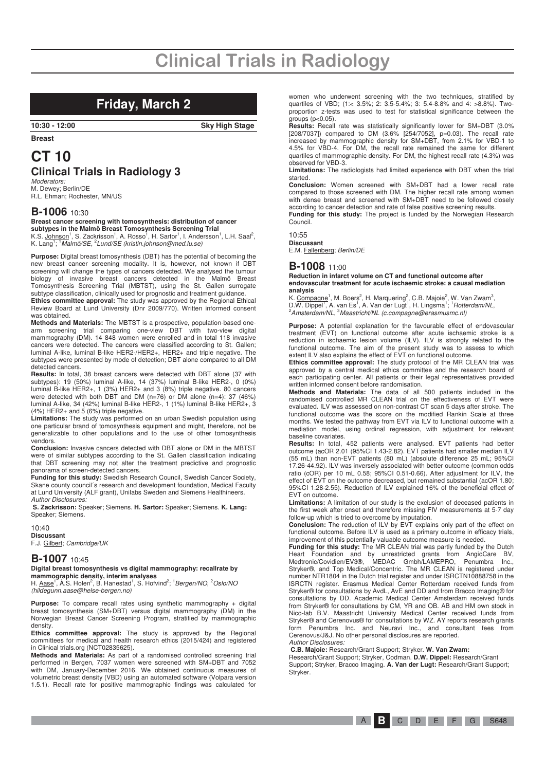# **Clinical Trials in Radiology**

### **Friday, March 2**

**10:30 - 12:00 Sky High Stage** 

**Breast** 

# **CT 10**

# **Clinical Trials in Radiology 3**

*Moderators:*<br>M. Dewey; Berlin/DE R.L. Ehman; Rochester, MN/US

#### **B-1006** 10:30

# **Breast cancer screening with tomosynthesis: distribution of cancer**

**subtypes in the Malmö Breast Tomosynthesis Screening Trial**<br>K.S. <u>Johnson<sup>1</sup>,</u> S. Zackrisson<sup>1</sup>, A. Rosso<sup>1</sup>, H. Sartor<sup>1</sup>, I. Andersson<sup>1</sup>, L.H. Saal<sup>2</sup>,<br>K. Lang<sup>1</sup>; <sup>1</sup>*Malmö/SE, <sup>2</sup>Lund/SE (kristin.johnson@med.lu.se)* 

**Purpose:** Digital breast tomosynthesis (DBT) has the potential of becoming the new breast cancer screening modality. It is, however, not known if DBT screening will change the types of cancers detected. We analysed the tumour biology of invasive breast cancers detected in the Malmö Breast Tomosynthesis Screening Trial (MBTST), using the St. Gallen surrogate subtype classification, clinically used for prognostic and treatment guidance.

**Ethics committee approval:** The study was approved by the Regional Ethical Review Board at Lund University (Dnr 2009/770). Written informed consent was obtained.

**Methods and Materials:** The MBTST is a prospective, population-based one-arm screening trial comparing one-view DBT with two-view digital mammography (DM). 14 848 women were enrolled and in total 118 invasive cancers were detected. The cancers were classified according to St. Gallen; luminal A-like, luminal B-like HER2-/HER2+, HER2+ and triple negative. The subtypes were presented by mode of detection; DBT alone compared to all DM detected cancers.

**Results:** In total, 38 breast cancers were detected with DBT alone (37 with subtypes): 19 (50%) luminal A-like, 14 (37%) luminal B-like HER2-, 0 (0%) luminal B-like HER2+, 1 (3%) HER2+ and 3 (8%) triple negative. 80 cancers were detected with both DBT and DM (n=76) or DM alone (n=4): 37 (46%) luminal A-like, 34 (42%) luminal B-like HER2-, 1 (1%) luminal B-like HER2+, 3 (4%) HER2+ and 5 (6%) triple negative.

**Limitations:** The study was performed on an urban Swedish population using one particular brand of tomosynthesis equipment and might, therefore, not be generalizable to other populations and to the use of other tomosynthesis vendors.

**Conclusion:** Invasive cancers detected with DBT alone or DM in the MBTST were of similar subtypes according to the St. Gallen classification indicating that DBT screening may not alter the treatment predictive and prognostic panorama of screen-detected cancers.

**Funding for this study:** Swedish Research Council, Swedish Cancer Society, Skane county council's research and development foundation, Medical Faculty at Lund University (ALF grant), Unilabs Sweden and Siemens Healthineers. Author Disclosures:

**S. Zackrisson:** Speaker; Siemens. **H. Sartor:** Speaker; Siemens. **K. Lang:** Speaker; Siemens.

#### 10:40

**Discussant**  F.J. Gilbert; Cambridge/UK

#### **B-1007** 10:45

**Digital breast tomosynthesis vs digital mammography: recallrate by mammographic density, interim analyses** 

H. Aase<sup>1</sup>, Å.S. Holen<sup>2</sup>, B. Hanestad<sup>1</sup>, S. Hofvind<sup>2</sup>; <sup>1</sup> Bergen/NO, <sup>2</sup> Oslo/NO (hildegunn.aase@helse-bergen.no)

**Purpose:** To compare recall rates using synthetic mammography + digital breast tomosynthesis (SM+DBT) versus digital mammography (DM) in the Norwegian Breast Cancer Screening Program, stratified by mammographic density.

**Ethics committee approval:** The study is approved by the Regional committees for medical and health research ethics (2015/424) and registered in Clinical trials.org (NCT02835625).

**Methods and Materials:** As part of a randomised controlled screening trial performed in Bergen, 7037 women were screened with SM+DBT and 7052 with DM, January-December 2016. We obtained continuous measures of volumetric breast density (VBD) using an automated software (Volpara version 1.5.1). Recall rate for positive mammographic findings was calculated for

women who underwent screening with the two techniques, stratified by quartiles of VBD; (1:< 3.5%; 2: 3.5-5.4%; 3: 5.4-8.8% and 4: >8.8%). Twoproportion z-tests was used to test for statistical significance between the  $groups (p < 0.05)$ .

**Results:** Recall rate was statistically significantly lower for SM+DBT (3.0% [208/7037]) compared to DM (3.6% [254/7052], p=0.03). The recall rate increased by mammographic density for SM+DBT, from 2.1% for VBD-1 to 4.5% for VBD-4. For DM, the recall rate remained the same for different quartiles of mammographic density. For DM, the highest recall rate (4.3%) was observed for VBD-3.

**Limitations:** The radiologists had limited experience with DBT when the trial started.

**Conclusion:** Women screened with SM+DBT had a lower recall rate compared to those screened with DM. The higher recall rate among women with dense breast and screened with SM+DBT need to be followed closely according to cancer detection and rate of false positive screening results.

**Funding for this study:** The project is funded by the Norwegian Research Council.

 $10.55$ **Discussant**  E.M. Fallenberg; Berlin/DE

#### **B-1008** 11:00

**Reduction in infarct volume on CT and functional outcome after endovascular treatment for acute ischaemic stroke: a causal mediation analysis** 

K. <u>Compagne</u><sup>1</sup>, M. Boers<sup>2</sup>, H. Marquering<sup>2</sup>, C.B. Majoie<sup>2</sup>, W. Van Zwam<sup>3</sup>,<br>D.W. Dippel<sup>1</sup>, A. van Es<sup>1</sup>, A. Van der Lugt<sup>1</sup>, H. Lingsma<sup>1</sup>; <sup>1</sup>*Rotterdam/NL*, <sup>2</sup> Amsterdam/NL, <sup>3</sup> Maastricht/NL (c.compagne@erasmusmc.nl)

**Purpose:** A potential explanation for the favourable effect of endovascular treatment (EVT) on functional outcome after acute ischaemic stroke is a reduction in ischaemic lesion volume (ILV). ILV is strongly related to the functional outcome. The aim of the present study was to assess to which extent ILV also explains the effect of EVT on functional outcome.

**Ethics committee approval:** The study protocol of the MR CLEAN trial was approved by a central medical ethics committee and the research board of each participating center. All patients or their legal representatives provided written informed consent before randomisation.

**Methods and Materials:** The data of all 500 patients included in the randomised controlled MR CLEAN trial on the effectiveness of EVT were evaluated. ILV was assessed on non-contrast CT scan 5 days after stroke. The functional outcome was the score on the modified Rankin Scale at three months. We tested the pathway from EVT via ILV to functional outcome with a mediation model, using ordinal regression, with adjustment for relevant baseline covariates.

**Results:** In total, 452 patients were analysed. EVT patients had better outcome (acOR 2.01 (95%CI 1.43-2.82). EVT patients had smaller median ILV (55 mL) than non-EVT patients (80 mL) (absolute difference 25 mL; 95%CI 17.26-44.92). ILV was inversely associated with better outcome (common odds ratio (cOR) per 10 mL 0.58; 95%CI 0.51-0.66). After adjustment for ILV, the effect of EVT on the outcome decreased, but remained substantial (acOR 1.80; 95%CI 1.28-2.55). Reduction of ILV explained 16% of the beneficial effect of EVT on outcome.

**Limitations:** A limitation of our study is the exclusion of deceased patients in the first week after onset and therefore missing FIV measurements at 5-7 day follow-up which is tried to overcome by imputation.

**Conclusion:** The reduction of ILV by EVT explains only part of the effect on functional outcome. Before ILV is used as a primary outcome in efficacy trials, improvement of this potentially valuable outcome measure is needed.

**Funding for this study:** The MR CLEAN trial was partly funded by the Dutch Heart Foundation and by unrestricted grants from AngioCare BV, Medtronic/Covidien/EV3®, MEDAC Gmbh/LAMEPRO, Penumbra Inc., Stryker®, and Top Medical/Concentric. The MR CLEAN is registered under number NTR1804 in the Dutch trial register and under ISRCTN10888758 in the ISRCTN register. Erasmus Medical Center Rotterdam received funds from Stryker® for consultations by AvdL, AvE and DD and from Bracco Imaging® for consultations by DD. Academic Medical Center Amsterdam received funds from Stryker® for consultations by CM, YR and OB. AB and HM own stock in Nico-lab B.V. Maastricht University Medical Center received funds from Stryker® and Cerenovus® for consultations by WZ. AY reports research grants form Penumbra Inc. and Neuravi Inc., and consultant fees from Cerenovus/J&J. No other personal disclosures are reported. Author Disclosures:

**C.B. Majoie:** Research/Grant Support; Stryker. **W. Van Zwam:**

Research/Grant Support; Stryker, Codman. **D.W. Dippel:** Research/Grant Support; Stryker, Bracco Imaging. **A. Van der Lugt:** Research/Grant Support; Stryker.